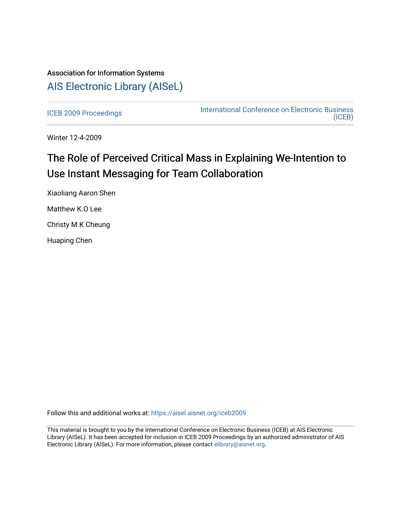# Association for Information Systems [AIS Electronic Library \(AISeL\)](https://aisel.aisnet.org/)

[ICEB 2009 Proceedings](https://aisel.aisnet.org/iceb2009) **International Conference on Electronic Business** [\(ICEB\)](https://aisel.aisnet.org/iceb) 

Winter 12-4-2009

# The Role of Perceived Critical Mass in Explaining We-Intention to Use Instant Messaging for Team Collaboration

Xiaoliang Aaron Shen Matthew K.O Lee Christy M.K Cheung Huaping Chen

Follow this and additional works at: [https://aisel.aisnet.org/iceb2009](https://aisel.aisnet.org/iceb2009?utm_source=aisel.aisnet.org%2Ficeb2009%2F147&utm_medium=PDF&utm_campaign=PDFCoverPages)

This material is brought to you by the International Conference on Electronic Business (ICEB) at AIS Electronic Library (AISeL). It has been accepted for inclusion in ICEB 2009 Proceedings by an authorized administrator of AIS Electronic Library (AISeL). For more information, please contact [elibrary@aisnet.org.](mailto:elibrary@aisnet.org%3E)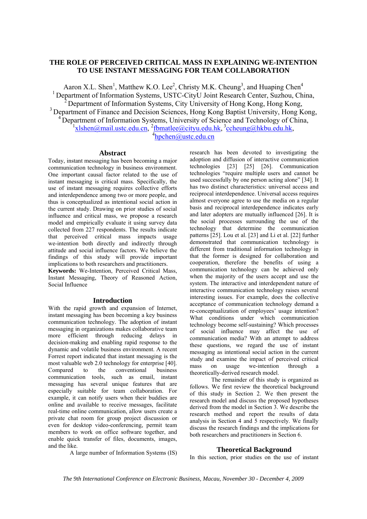# **THE ROLE OF PERCEIVED CRITICAL MASS IN EXPLAINING WE-INTENTION TO USE INSTANT MESSAGING FOR TEAM COLLABORATION**

Aaron X.L. Shen<sup>1</sup>, Matthew K.O. Lee<sup>2</sup>, Christy M.K. Cheung<sup>3</sup>, and Huaping Chen<sup>4</sup> <sup>1</sup> Department of Information Systems, USTC-CityU Joint Research Center, Suzhou, China, 2 Department of Information Systems, City University of Hong Kong, Hong Kong, <sup>3</sup> Department of Finance and Decision Sciences, Hong Kong Baptist University, Hong Kong, <sup>4</sup> Department of Information Systems, University of Science and Technology of China,  $\frac{1}{x}$ lshen@mail.ustc.edu.cn,  $\frac{2}{x}$ fbmatlee@cityu.edu.hk,  $\frac{3}{x}$ ccheung@hkbu.edu.hk,  $\mu$ <sup>4</sup>hpchen@ustc.edu.cn

#### **Abstract**

Today, instant messaging has been becoming a major communication technology in business environment. One important causal factor related to the use of instant messaging is critical mass. Specifically, the use of instant messaging requires collective efforts and interdependence among two or more people, and thus is conceptualized as intentional social action in the current study. Drawing on prior studies of social influence and critical mass, we propose a research model and empirically evaluate it using survey data collected from 227 respondents. The results indicate that perceived critical mass impacts usage we-intention both directly and indirectly through attitude and social influence factors. We believe the findings of this study will provide important implications to both researchers and practitioners.

**Keywords:** We-Intention, Perceived Critical Mass, Instant Messaging, Theory of Reasoned Action, Social Influence

#### **Introduction**

With the rapid growth and expansion of Internet, instant messaging has been becoming a key business communication technology. The adoption of instant messaging in organizations makes collaborative team more efficient through reducing delays in decision-making and enabling rapid response to the dynamic and volatile business environment. A recent Forrest report indicated that instant messaging is the most valuable web 2.0 technology for enterprise [40]. Compared to the conventional business communication tools, such as email, instant messaging has several unique features that are especially suitable for team collaboration. For example, it can notify users when their buddies are online and available to receive messages, facilitate real-time online communication, allow users create a private chat room for group project discussion or even for desktop video-conferencing, permit team members to work on office software together, and enable quick transfer of files, documents, images, and the like.

A large number of Information Systems (IS)

research has been devoted to investigating the adoption and diffusion of interactive communication technologies [23] [25] [26]. Communication technologies "require multiple users and cannot be used successfully by one person acting alone" [34]. It has two distinct characteristics: universal access and reciprocal interdependence. Universal access requires almost everyone agree to use the media on a regular basis and reciprocal interdependence indicates early and later adopters are mutually influenced [26]. It is the social processes surrounding the use of the technology that determine the communication patterns [25]. Lou et al. [23] and Li et al. [22] further demonstrated that communication technology is different from traditional information technology in that the former is designed for collaboration and cooperation, therefore the benefits of using a communication technology can be achieved only when the majority of the users accept and use the system. The interactive and interdependent nature of interactive communication technology raises several interesting issues. For example, does the collective acceptance of communication technology demand a re-conceptualization of employees' usage intention? What conditions under which communication technology become self-sustaining? Which processes of social influence may affect the use of communication media? With an attempt to address these questions, we regard the use of instant messaging as intentional social action in the current study and examine the impact of perceived critical mass on usage we-intention through a theoretically-derived research model.

The remainder of this study is organized as follows. We first review the theoretical background of this study in Section 2. We then present the research model and discuss the proposed hypotheses derived from the model in Section 3. We describe the research method and report the results of data analysis in Section 4 and 5 respectively. We finally discuss the research findings and the implications for both researchers and practitioners in Section 6.

# **Theoretical Background**

In this section, prior studies on the use of instant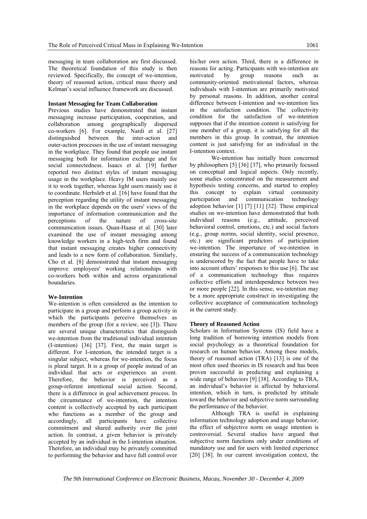messaging in team collaboration are first discussed. The theoretical foundation of this study is then reviewed. Specifically, the concept of we-intention, theory of reasoned action, critical mass theory and Kelman's social influence framework are discussed.

#### **Instant Messaging for Team Collaboration**

Previous studies have demonstrated that instant messaging increase participation, cooperation, and collaboration among geographically dispersed co-workers [6]. For example, Nardi et al. [27] distinguished between the inter-action and outer-action processes in the use of instant messaging in the workplace. They found that people use instant messaging both for information exchange and for social connectedness. Isaacs et al. [19] further reported two distinct styles of instant messaging usage in the workplace. Heavy IM users mainly use it to work together, whereas light users mainly use it to coordinate. Herbsleb et al. [16] have found that the perception regarding the utility of instant messaging in the workplace depends on the users' views of the importance of information communication and the perceptions of the nature of cross-site communication issues. Quan-Haase et al. [30] later examined the use of instant messaging among knowledge workers in a high-tech firm and found that instant messaging creates higher connectivity and leads to a new form of collaboration. Similarly, Cho et al. [8] demonstrated that instant messaging improve employees' working relationships with co-workers both within and across organizational boundaries.

#### **We-Intention**

We-intention is often considered as the intention to participate in a group and perform a group activity in which the participants perceive themselves as members of the group (for a review, see [3]). There are several unique characteristics that distinguish we-intention from the traditional individual intention (I-intention) [36] [37]. First, the main target is different. For I-intention, the intended target is a singular subject, whereas for we-intention, the focus is plural target. It is a group of people instead of an individual that acts or experiences an event. Therefore, the behavior is perceived as a group-referent intentional social action. Second, there is a difference in goal achievement process. In the circumstance of we-intention, the intention content is collectively accepted by each participant who functions as a member of the group and accordingly, all participants have collective commitment and shared authority over the joint action. In contrast, a given behavior is privately accepted by an individual in the I-intention situation. Therefore, an individual may be privately committed to performing the behavior and have full control over his/her own action. Third, there is a difference in reasons for acting. Participants with we-intention are motivated by group reasons such as community-oriented motivational factors, whereas individuals with I-intention are primarily motivated by personal reasons. In addition, another central difference between I-intention and we-intention lies in the satisfaction condition. The collectivity condition for the satisfaction of we-intention supposes that if the intention content is satisfying for one member of a group, it is satisfying for all the members in this group. In contrast, the intention content is just satisfying for an individual in the I-intention context.

We-intention has initially been concerned by philosophers [5] [36] [37], who primarily focused on conceptual and logical aspects. Only recently, some studies concentrated on the measurement and hypothesis testing concerns, and started to employ this concept to explain virtual community participation and communication technology adoption behavior [1] [7] [11] [32]. These empirical studies on we-intention have demonstrated that both individual reasons (e.g., attitude, perceived behavioral control, emotions, etc.) and social factors (e.g., group norms, social identity, social presence, etc.) are significant predictors of participation we-intention. The importance of we-intention in ensuring the success of a communication technology is underscored by the fact that people have to take into account others' responses to this use [6]. The use of a communication technology thus requires collective efforts and interdependence between two or more people [22]. In this sense, we-intention may be a more appropriate construct in investigating the collective acceptance of communication technology in the current study.

#### **Theory of Reasoned Action**

Scholars in Information Systems (IS) field have a long tradition of borrowing intention models from social psychology as a theoretical foundation for research on human behavior. Among these models, theory of reasoned action (TRA) [13] is one of the most often used theories in IS research and has been proven successful in predicting and explaining a wide range of behaviors [9] [38]. According to TRA, an individual's behavior is affected by behavioral intention, which in turn, is predicted by attitude toward the behavior and subjective norm surrounding the performance of the behavior.

Although TRA is useful in explaining information technology adoption and usage behavior, the effect of subjective norm on usage intention is controversial. Several studies have argued that subjective norm functions only under conditions of mandatory use and for users with limited experience [20] [38]. In our current investigation context, the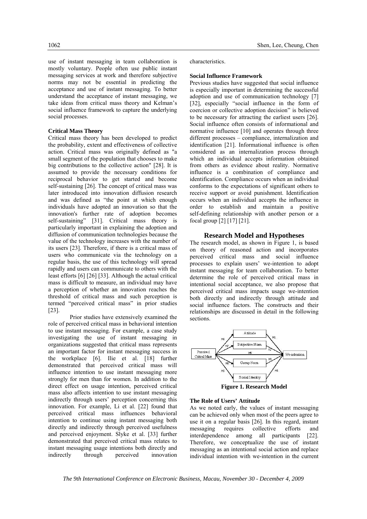use of instant messaging in team collaboration is mostly voluntary. People often use public instant messaging services at work and therefore subjective norms may not be essential in predicting the acceptance and use of instant messaging. To better understand the acceptance of instant messaging, we take ideas from critical mass theory and Kelman's social influence framework to capture the underlying social processes.

## **Critical Mass Theory**

Critical mass theory has been developed to predict the probability, extent and effectiveness of collective action. Critical mass was originally defined as "a small segment of the population that chooses to make big contributions to the collective action" [28]. It is assumed to provide the necessary conditions for reciprocal behavior to get started and become self-sustaining [26]. The concept of critical mass was later introduced into innovation diffusion research and was defined as "the point at which enough individuals have adopted an innovation so that the innovation's further rate of adoption becomes self-sustaining" [31]. Critical mass theory is particularly important in explaining the adoption and diffusion of communication technologies because the value of the technology increases with the number of its users [23]. Therefore, if there is a critical mass of users who communicate via the technology on a regular basis, the use of this technology will spread rapidly and users can communicate to others with the least efforts [6] [26] [33]. Although the actual critical mass is difficult to measure, an individual may have a perception of whether an innovation reaches the threshold of critical mass and such perception is termed "perceived critical mass" in prior studies [23].

Prior studies have extensively examined the role of perceived critical mass in behavioral intention to use instant messaging. For example, a case study investigating the use of instant messaging in organizations suggested that critical mass represents an important factor for instant messaging success in the workplace [6]. Ilie et al. [18] further demonstrated that perceived critical mass will influence intention to use instant messaging more strongly for men than for women. In addition to the direct effect on usage intention, perceived critical mass also affects intention to use instant messaging indirectly through users' perception concerning this innovation. For example, Li et al. [22] found that perceived critical mass influences behavioral intention to continue using instant messaging both directly and indirectly through perceived usefulness and perceived enjoyment. Slyke et al. [33] further demonstrated that perceived critical mass relates to instant messaging usage intentions both directly and indirectly through perceived innovation

characteristics.

#### **Social Influence Framework**

Previous studies have suggested that social influence is especially important in determining the successful adoption and use of communication technology [7] [32], especially "social influence in the form of coercion or collective adoption decision" is believed to be necessary for attracting the earliest users [26]. Social influence often consists of informational and normative influence [10] and operates through three different processes – compliance, internalization and identification [21]. Informational influence is often considered as an internalization process through which an individual accepts information obtained from others as evidence about reality. Normative influence is a combination of compliance and identification. Compliance occurs when an individual conforms to the expectations of significant others to receive support or avoid punishment. Identification occurs when an individual accepts the influence in order to establish and maintain a positive self-defining relationship with another person or a focal group [2] [17] [21].

#### **Research Model and Hypotheses**

The research model, as shown in Figure 1, is based on theory of reasoned action and incorporates perceived critical mass and social influence processes to explain users' we-intention to adopt instant messaging for team collaboration. To better determine the role of perceived critical mass in intentional social acceptance, we also propose that perceived critical mass impacts usage we-intention both directly and indirectly through attitude and social influence factors. The constructs and their relationships are discussed in detail in the following sections.



# **The Role of Users' Attitude**

As we noted early, the values of instant messaging can be achieved only when most of the peers agree to use it on a regular basis [26]. In this regard, instant messaging requires collective efforts and interdependence among all participants [22]. Therefore, we conceptualize the use of instant messaging as an intentional social action and replace individual intention with we-intention in the current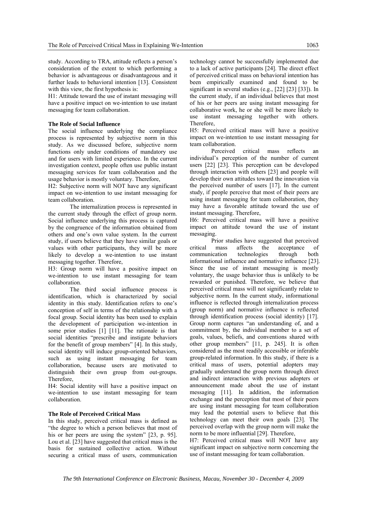study. According to TRA, attitude reflects a person's consideration of the extent to which performing a behavior is advantageous or disadvantageous and it further leads to behavioral intention [13]. Consistent with this view, the first hypothesis is:

H1: Attitude toward the use of instant messaging will have a positive impact on we-intention to use instant messaging for team collaboration.

# **The Role of Social Influence**

The social influence underlying the compliance process is represented by subjective norm in this study. As we discussed before, subjective norm functions only under conditions of mandatory use and for users with limited experience. In the current investigation context, people often use public instant messaging services for team collaboration and the usage behavior is mostly voluntary. Therefore,

H2: Subjective norm will NOT have any significant impact on we-intention to use instant messaging for team collaboration.

The internalization process is represented in the current study through the effect of group norm. Social influence underlying this process is captured by the congruence of the information obtained from others and one's own value system. In the current study, if users believe that they have similar goals or values with other participants, they will be more likely to develop a we-intention to use instant messaging together. Therefore,

H3: Group norm will have a positive impact on we-intention to use instant messaging for team collaboration.

The third social influence process is identification, which is characterized by social identity in this study. Identification refers to one's conception of self in terms of the relationship with a focal group. Social identity has been used to explain the development of participation we-intention in some prior studies [1] [11]. The rationale is that social identities "prescribe and instigate behaviors for the benefit of group members" [4]. In this study, social identity will induce group-oriented behaviors, such as using instant messaging for team collaboration, because users are motivated to distinguish their own group from out-groups. Therefore,

H4: Social identity will have a positive impact on we-intention to use instant messaging for team collaboration.

# **The Role of Perceived Critical Mass**

In this study, perceived critical mass is defined as "the degree to which a person believes that most of his or her peers are using the system" [23, p. 95]. Lou et al. [23] have suggested that critical mass is the basis for sustained collective action. Without securing a critical mass of users, communication

technology cannot be successfully implemented due to a lack of active participants [24]. The direct effect of perceived critical mass on behavioral intention has been empirically examined and found to be significant in several studies (e.g., [22] [23] [33]). In the current study, if an individual believes that most of his or her peers are using instant messaging for collaborative work, he or she will be more likely to use instant messaging together with others. Therefore,

H5: Perceived critical mass will have a positive impact on we-intention to use instant messaging for team collaboration.

Perceived critical mass reflects an individual's perception of the number of current users [22] [23]. This perception can be developed through interaction with others [23] and people will develop their own attitudes toward the innovation via the perceived number of users [17]. In the current study, if people perceive that most of their peers are using instant messaging for team collaboration, they may have a favorable attitude toward the use of instant messaging. Therefore,

H6: Perceived critical mass will have a positive impact on attitude toward the use of instant messaging.

Prior studies have suggested that perceived critical mass affects the acceptance of communication technologies through both informational influence and normative influence [23]. Since the use of instant messaging is mostly voluntary, the usage behavior thus is unlikely to be rewarded or punished. Therefore, we believe that perceived critical mass will not significantly relate to subjective norm. In the current study, informational influence is reflected through internalization process (group norm) and normative influence is reflected through identification process (social identity) [17]. Group norm captures "an understanding of, and a commitment by, the individual member to a set of goals, values, beliefs, and conventions shared with other group members" [11, p. 245]. It is often considered as the most readily accessible or inferable group-related information. In this study, if there is a critical mass of users, potential adopters may gradually understand the group norm through direct and indirect interaction with previous adopters or announcement made about the use of instant messaging [11]. In addition, the information exchange and the perception that most of their peers are using instant messaging for team collaboration may lead the potential users to believe that this technology can meet their own goals [23]. The perceived overlap with the group norm will make the norm to be more influential [29]. Therefore,

H7: Perceived critical mass will NOT have any significant impact on subjective norm concerning the use of instant messaging for team collaboration.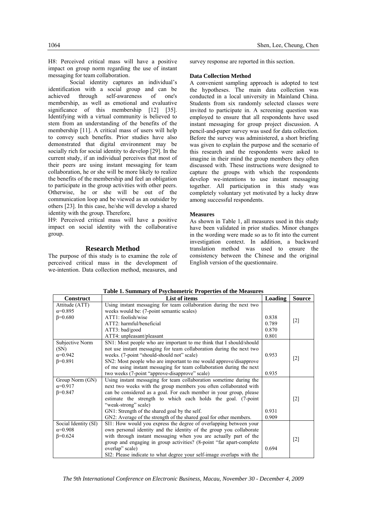H8: Perceived critical mass will have a positive impact on group norm regarding the use of instant messaging for team collaboration.

Social identity captures an individual's identification with a social group and can be achieved through self-awareness of one's membership, as well as emotional and evaluative significance of this membership [12] [35]. Identifying with a virtual community is believed to stem from an understanding of the benefits of the membership [11]. A critical mass of users will help to convey such benefits. Prior studies have also demonstrated that digital environment may be socially rich for social identity to develop [29]. In the current study, if an individual perceives that most of their peers are using instant messaging for team collaboration, he or she will be more likely to realize the benefits of the membership and feel an obligation to participate in the group activities with other peers. Otherwise, he or she will be out of the communication loop and be viewed as an outsider by others [23]. In this case, he/she will develop a shared identity with the group. Therefore,

H9: Perceived critical mass will have a positive impact on social identity with the collaborative group.

# **Research Method**

The purpose of this study is to examine the role of perceived critical mass in the development of we-intention. Data collection method, measures, and

survey response are reported in this section.

#### **Data Collection Method**

A convenient sampling approach is adopted to test the hypotheses. The main data collection was conducted in a local university in Mainland China. Students from six randomly selected classes were invited to participate in. A screening question was employed to ensure that all respondents have used instant messaging for group project discussion. A pencil-and-paper survey was used for data collection. Before the survey was administered, a short briefing was given to explain the purpose and the scenario of this research and the respondents were asked to imagine in their mind the group members they often discussed with. These instructions were designed to capture the groups with which the respondents develop we-intentions to use instant messaging together. All participation in this study was completely voluntary yet motivated by a lucky draw among successful respondents.

#### **Measures**

As shown in Table 1, all measures used in this study have been validated in prior studies. Minor changes in the wording were made so as to fit into the current investigation context. In addition, a backward translation method was used to ensure the consistency between the Chinese and the original English version of the questionnaire.

| <b>Construct</b>     | List of items                                                         | <b>Loading</b> | <b>Source</b> |  |  |
|----------------------|-----------------------------------------------------------------------|----------------|---------------|--|--|
| Attitude (ATT)       | Using instant messaging for team collaboration during the next two    |                |               |  |  |
| $\alpha = 0.895$     | weeks would be: (7-point semantic scales)                             |                |               |  |  |
| $\beta = 0.680$      | ATT1: foolish/wise<br>0.838                                           |                |               |  |  |
|                      | ATT2: harmful/beneficial                                              | 0.789          | $[2]$         |  |  |
|                      | ATT3: bad/good                                                        | 0.870          |               |  |  |
|                      | ATT4: unpleasant/pleasant                                             | 0.801          |               |  |  |
| Subjective Norm      | SN1: Most people who are important to me think that I should/should   |                |               |  |  |
| (SN)                 | not use instant messaging for team collaboration during the next two  |                |               |  |  |
| $\alpha = 0.942$     | weeks. (7-point "should-should not" scale)                            | 0.953          | $[2]$         |  |  |
| $\beta = 0.891$      | SN2: Most people who are important to me would approve/disapprove     |                |               |  |  |
|                      | of me using instant messaging for team collaboration during the next  |                |               |  |  |
|                      | two weeks (7-point "approve-disapprove" scale)                        | 0.935          |               |  |  |
| Group Norm (GN)      | Using instant messaging for team collaboration sometime during the    |                |               |  |  |
| $\alpha = 0.917$     | next two weeks with the group members you often collaborated with     |                |               |  |  |
| $\beta = 0.847$      | can be considered as a goal. For each member in your group, please    |                |               |  |  |
|                      | estimate the strength to which each holds the goal. (7-point          |                | $[2]$         |  |  |
|                      | "weak-strong" scale)                                                  |                |               |  |  |
|                      | GN1: Strength of the shared goal by the self.                         | 0.931          |               |  |  |
|                      | GN2: Average of the strength of the shared goal for other members.    | 0.909          |               |  |  |
| Social Identity (SI) | SI1: How would you express the degree of overlapping between your     |                |               |  |  |
| $\alpha = 0.908$     | own personal identity and the identity of the group you collaborate   |                |               |  |  |
| $\beta = 0.624$      | with through instant messaging when you are actually part of the      |                |               |  |  |
|                      | group and engaging in group activities? (8-point "far apart-complete" |                | $[2]$         |  |  |
|                      | overlap" scale)                                                       | 0.694          |               |  |  |
|                      | SI2: Please indicate to what degree your self-image overlaps with the |                |               |  |  |

**Table 1. Summary of Psychometric Properties of the Measures**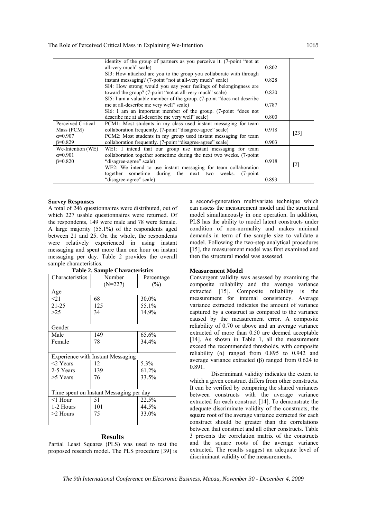|                                                          | identity of the group of partners as you perceive it. (7-point "not at<br>all-very much" scale)                                                                                                                                 | 0.802 |                    |
|----------------------------------------------------------|---------------------------------------------------------------------------------------------------------------------------------------------------------------------------------------------------------------------------------|-------|--------------------|
|                                                          | SI3: How attached are you to the group you collaborate with through<br>instant messaging? (7-point "not at all-very much" scale)                                                                                                | 0.828 |                    |
|                                                          | SI4: How strong would you say your feelings of belongingness are<br>toward the group? (7-point "not at all-very much" scale)                                                                                                    | 0.820 |                    |
|                                                          | SI5: I am a valuable member of the group. (7-point "does not describe")<br>me at all-describe me very well" scale)                                                                                                              | 0.787 |                    |
|                                                          | SI6: I am an important member of the group. (7-point "does not<br>describe me at all-describe me very well" scale)                                                                                                              | 0.800 |                    |
| Perceived Critical<br>Mass (PCM)                         | PCM1: Most students in my class used instant messaging for team<br>collaboration frequently. (7-point "disagree-agree" scale)                                                                                                   | 0.918 | $\lceil 23 \rceil$ |
| $\alpha = 0.907$<br>$B=0.829$                            | PCM2: Most students in my group used instant messaging for team<br>collaboration frequently. (7-point "disagree-agree" scale)                                                                                                   | 0.903 |                    |
| We-Intention (WE)<br>$\alpha = 0.901$<br>$\beta = 0.820$ | WE1: I intend that our group use instant messaging for team<br>collaboration together sometime during the next two weeks. (7-point<br>"disagree-agree" scale)<br>WE2: We intend to use instant messaging for team collaboration | 0.918 | $[2]$              |
|                                                          | together sometime during the next two<br>weeks.<br>$(7$ -point<br>"disagree-agree" scale)                                                                                                                                       | 0.893 |                    |

# **Survey Responses**

A total of 246 questionnaires were distributed, out of which 227 usable questionnaires were returned. Of the respondents, 149 were male and 78 were female. A large majority (55.1%) of the respondents aged between 21 and 25. On the whole, the respondents were relatively experienced in using instant messaging and spent more than one hour on instant messaging per day. Table 2 provides the overall sample characteristics.

| Characteristics                          | Number    | Percentage |  |  |  |
|------------------------------------------|-----------|------------|--|--|--|
|                                          | $(N=227)$ | $(\%)$     |  |  |  |
| Age                                      |           |            |  |  |  |
| <21                                      | 68        | 30.0%      |  |  |  |
| 21-25                                    | 125       | 55.1%      |  |  |  |
| >25                                      | 34        | 14.9%      |  |  |  |
|                                          |           |            |  |  |  |
| Gender                                   |           |            |  |  |  |
| Male                                     | 149       | 65.6%      |  |  |  |
| Female                                   | 78        | 34.4%      |  |  |  |
|                                          |           |            |  |  |  |
| <b>Experience with Instant Messaging</b> |           |            |  |  |  |
| $<$ 2 Years                              | 12        | 5.3%       |  |  |  |
| 2-5 Years                                | 139       | 61.2%      |  |  |  |
| $>5$ Years                               | 76        | 33.5%      |  |  |  |
|                                          |           |            |  |  |  |
| Time spent on Instant Messaging per day  |           |            |  |  |  |
| $<$ 1 Hour                               | 51        | 22.5%      |  |  |  |
| 1-2 Hours                                | 101       | 44.5%      |  |  |  |
| $>2$ Hours                               | 75        | 33.0%      |  |  |  |
|                                          |           |            |  |  |  |

**Table 2. Sample Characteristics** 

# **Results**

Partial Least Squares (PLS) was used to test the proposed research model. The PLS procedure [39] is a second-generation multivariate technique which can assess the measurement model and the structural model simultaneously in one operation. In addition, PLS has the ability to model latent constructs under condition of non-normality and makes minimal demands in term of the sample size to validate a model. Following the two-step analytical procedures [15], the measurement model was first examined and then the structural model was assessed.

#### **Measurement Model**

Convergent validity was assessed by examining the composite reliability and the average variance extracted [15]. Composite reliability is the measurement for internal consistency. Average variance extracted indicates the amount of variance captured by a construct as compared to the variance caused by the measurement error. A composite reliability of 0.70 or above and an average variance extracted of more than 0.50 are deemed acceptable [14]. As shown in Table 1, all the measurement exceed the recommended thresholds, with composite reliability (α) ranged from 0.895 to 0.942 and average variance extracted (β) ranged from 0.624 to 0.891.

Discriminant validity indicates the extent to which a given construct differs from other constructs. It can be verified by comparing the shared variances between constructs with the average variance extracted for each construct [14]. To demonstrate the adequate discriminate validity of the constructs, the square root of the average variance extracted for each construct should be greater than the correlations between that construct and all other constructs. Table 3 presents the correlation matrix of the constructs and the square roots of the average variance extracted. The results suggest an adequate level of discriminant validity of the measurements.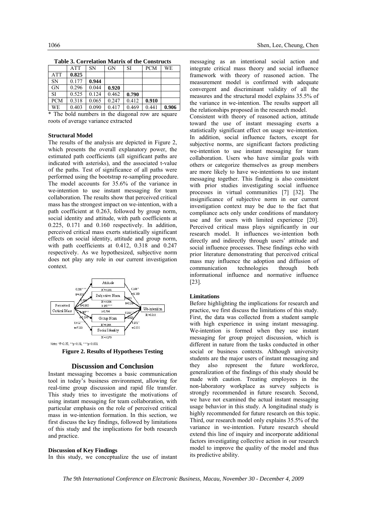|            | <b>ATT</b> | SΝ    | <b>GN</b> | SI    | <b>PCM</b> | WE    |  |
|------------|------------|-------|-----------|-------|------------|-------|--|
| <b>ATT</b> | 0.825      |       |           |       |            |       |  |
| <b>SN</b>  | 0.177      | 0.944 |           |       |            |       |  |
| <b>GN</b>  | 0.296      | 0.044 | 0.920     |       |            |       |  |
| <b>SI</b>  | 0.525      | 0.124 | 0.462     | 0.790 |            |       |  |
| <b>PCM</b> | 0.318      | 0.065 | 0.247     | 0.412 | 0.910      |       |  |
| WE         | 0.403      | 0.090 | 0.417     | 0.469 | 0.441      | 0.906 |  |

**Table 3. Correlation Matrix of the Constructs** 

\* The bold numbers in the diagonal row are square roots of average variance extracted

# **Structural Model**

The results of the analysis are depicted in Figure 2, which presents the overall explanatory power, the estimated path coefficients (all significant paths are indicated with asterisks), and the associated t-value of the paths. Test of significance of all paths were performed using the bootstrap re-sampling procedure. The model accounts for 35.6% of the variance in we-intention to use instant messaging for team collaboration. The results show that perceived critical mass has the strongest impact on we-intention, with a path coefficient at 0.263, followed by group norm, social identity and attitude, with path coefficients at 0.225, 0.171 and 0.160 respectively. In addition, perceived critical mass exerts statistically significant effects on social identity, attitude and group norm, with path coefficients at 0.412, 0.318 and 0.247 respectively. As we hypothesized, subjective norm does not play any role in our current investigation context.



**Figure 2. Results of Hypotheses Testing** 

#### **Discussion and Conclusion**

Instant messaging becomes a basic communication tool in today's business environment, allowing for real-time group discussion and rapid file transfer. This study tries to investigate the motivations of using instant messaging for team collaboration, with particular emphasis on the role of perceived critical mass in we-intention formation. In this section, we first discuss the key findings, followed by limitations of this study and the implications for both research and practice.

#### **Discussion of Key Findings**

In this study, we conceptualize the use of instant

messaging as an intentional social action and integrate critical mass theory and social influence framework with theory of reasoned action. The measurement model is confirmed with adequate convergent and discriminant validity of all the measures and the structural model explains 35.5% of the variance in we-intention. The results support all the relationships proposed in the research model.

Consistent with theory of reasoned action, attitude toward the use of instant messaging exerts a statistically significant effect on usage we-intention. In addition, social influence factors, except for subjective norms, are significant factors predicting we-intention to use instant messaging for team collaboration. Users who have similar goals with others or categorize themselves as group members are more likely to have we-intentions to use instant messaging together. This finding is also consistent with prior studies investigating social influence processes in virtual communities [7] [32]. The insignificance of subjective norm in our current investigation context may be due to the fact that compliance acts only under conditions of mandatory use and for users with limited experience [20]. Perceived critical mass plays significantly in our research model. It influences we-intention both directly and indirectly through users' attitude and social influence processes. These findings echo with prior literature demonstrating that perceived critical mass may influence the adoption and diffusion of communication technologies through both informational influence and normative influence [23].

## **Limitations**

Before highlighting the implications for research and practice, we first discuss the limitations of this study. First, the data was collected from a student sample with high experience in using instant messaging. We-intention is formed when they use instant messaging for group project discussion, which is different in nature from the tasks conducted in other social or business contexts. Although university students are the major users of instant messaging and they also represent the future workforce, generalization of the findings of this study should be made with caution. Treating employees in the non-laboratory workplace as survey subjects is strongly recommended in future research. Second, we have not examined the actual instant messaging usage behavior in this study. A longitudinal study is highly recommended for future research on this topic. Third, our research model only explains 35.5% of the variance in we-intention. Future research should extend this line of inquiry and incorporate additional factors investigating collective action in our research model to improve the quality of the model and thus its predictive ability.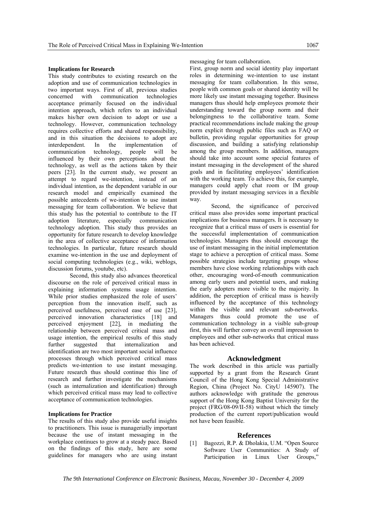#### **Implications for Research**

This study contributes to existing research on the adoption and use of communication technologies in two important ways. First of all, previous studies concerned with communication technologies acceptance primarily focused on the individual intention approach, which refers to an individual makes his/her own decision to adopt or use a technology. However, communication technology requires collective efforts and shared responsibility, and in this situation the decisions to adopt are interdependent. In the implementation of communication technology, people will be influenced by their own perceptions about the technology, as well as the actions taken by their peers [23]. In the current study, we present an attempt to regard we-intention, instead of an individual intention, as the dependent variable in our research model and empirically examined the possible antecedents of we-intention to use instant messaging for team collaboration. We believe that this study has the potential to contribute to the IT adoption literature, especially communication technology adoption. This study thus provides an opportunity for future research to develop knowledge in the area of collective acceptance of information technologies. In particular, future research should examine we-intention in the use and deployment of social computing technologies (e.g., wiki, weblogs, discussion forums, youtube, etc).

Second, this study also advances theoretical discourse on the role of perceived critical mass in explaining information systems usage intention. While prior studies emphasized the role of users' perception from the innovation itself, such as perceived usefulness, perceived ease of use [23], perceived innovation characteristics [18] and perceived enjoyment [22], in mediating the relationship between perceived critical mass and usage intention, the empirical results of this study further suggested that internalization and identification are two most important social influence processes through which perceived critical mass predicts we-intention to use instant messaging. Future research thus should continue this line of research and further investigate the mechanisms (such as internalization and identification) through which perceived critical mass may lead to collective acceptance of communication technologies.

# **Implications for Practice**

The results of this study also provide useful insights to practitioners. This issue is managerially important because the use of instant messaging in the workplace continues to grow at a steady pace. Based on the findings of this study, here are some guidelines for managers who are using instant

messaging for team collaboration.

First, group norm and social identity play important roles in determining we-intention to use instant messaging for team collaboration. In this sense, people with common goals or shared identity will be more likely use instant messaging together. Business managers thus should help employees promote their understanding toward the group norm and their belongingness to the collaborative team. Some practical recommendations include making the group norm explicit through public files such as FAQ or bulletin, providing regular opportunities for group discussion, and building a satisfying relationship among the group members. In addition, managers should take into account some special features of instant messaging in the development of the shared goals and in facilitating employees' identification with the working team. To achieve this, for example, managers could apply chat room or IM group provided by instant messaging services in a flexible way.

Second, the significance of perceived critical mass also provides some important practical implications for business managers. It is necessary to recognize that a critical mass of users is essential for the successful implementation of communication technologies. Managers thus should encourage the use of instant messaging in the initial implementation stage to achieve a perception of critical mass. Some possible strategies include targeting groups whose members have close working relationships with each other, encouraging word-of-mouth communication among early users and potential users, and making the early adopters more visible to the majority. In addition, the perception of critical mass is heavily influenced by the acceptance of this technology within the visible and relevant sub-networks. Managers thus could promote the use of communication technology in a visible sub-group first, this will further convey an overall impression to employees and other sub-networks that critical mass has been achieved.

# **Acknowledgment**

The work described in this article was partially supported by a grant from the Research Grant Council of the Hong Kong Special Administrative Region, China (Project No. CityU 145907). The authors acknowledge with gratitude the generous support of the Hong Kong Baptist University for the project (FRG/08-09/II-58) without which the timely production of the current report/publication would not have been feasible.

#### **References**

[1] Bagozzi, R.P. & Dholakia, U.M. "Open Source Software User Communities: A Study of Participation in Linux User Groups,"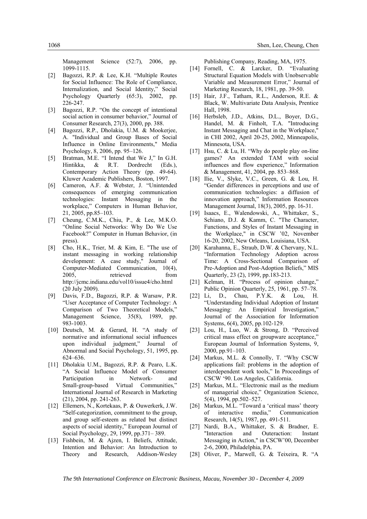Management Science (52:7), 2006, pp. 1099-1115.

- [2] Bagozzi, R.P. & Lee, K.H. "Multiple Routes for Social Influence: The Role of Compliance, Internalization, and Social Identity," Social Psychology Quarterly (65:3), 2002, pp. 226-247.
- [3] Bagozzi, R.P. "On the concept of intentional social action in consumer behavior," Journal of Consumer Research, 27(3), 2000, pp. 388.
- [4] Bagozzi, R.P., Dholakia, U.M. & Mookerjee, A. "Individual and Group Bases of Social Influence in Online Environments," Media Psychology, 8, 2006, pp. 95–126.
- [5] Bratman, M.E. "I Intend that We J," In G.H. Hintikka, & R.T. Dordrecht (Eds.), Contemporary Action Theory (pp. 49-64). Kluwer Academic Publishers, Boston, 1997.
- [6] Cameron, A.F. & Webster, J. "Unintended consequences of emerging communication technologies: Instant Messaging in the workplace," Computers in Human Behavior, 21, 2005, pp.85–103.
- [7] Cheung, C.M.K., Chiu, P., & Lee, M.K.O. "Online Social Networks: Why Do We Use Facebook?" Computer in Human Behavior, (in press).
- [8] Cho, H.K., Trier, M. & Kim, E. "The use of instant messaging in working relationship development: A case study," Journal of Computer-Mediated Communication, 10(4), 2005. The retrieved from http://jcmc.indiana.edu/vol10/issue4/cho.html (20 July 2009).
- [9] Davis, F.D., Bagozzi, R.P. & Warsaw, P.R. "User Acceptance of Computer Technology: A Comparison of Two Theoretical Models," Management Science, 35(8), 1989, pp. 983-1003.
- [10] Deutsch, M. & Gerard, H. "A study of normative and informational social influences upon individual judgment," Journal of Abnormal and Social Psychology, 51, 1995, pp. 624–636.
- [11] Dholakia U.M., Bagozzi, R.P. & Pearo, L.K. "A Social Influence Model of Consumer Participation in Network- and Small-group-based Virtual Communities," International Journal of Research in Marketing (21), 2004, pp. 241-263.
- [12] Ellemers, N., Kortekaas, P. & Ouwerkerk, J.W. "Self-categorization, commitment to the group, and group self-esteem as related but distinct aspects of social identity," European Journal of Social Psychology, 29, 1999, pp.371– 389.
- [13] Fishbein, M. & Ajzen, I. Beliefs, Attitude, Intention and Behavior: An Introduction to Theory and Research, Addison-Wesley

Publishing Company, Reading, MA, 1975.

- [14] Fornell, C. & Larcker, D. "Evaluating Structural Equation Models with Unobservable Variable and Measurement Error," Journal of Marketing Research, 18, 1981, pp. 39-50.
- [15] Hair, J.F., Tatham, R.L., Anderson, R.E. & Black, W. Multivariate Data Analysis, Prentice Hall, 1998.
- [16] Herbsleb, J.D., Atkins, D.L., Boyer, D.G., Handel, M. & Finholt, T.A. "Introducing Instant Messaging and Chat in the Workplace," in CHI 2002, April 20-25, 2002, Minneapolis, Minnesota, USA.
- [17] Hsu, C. & Lu, H. "Why do people play on-line games? An extended TAM with social influences and flow experience," Information & Management, 41, 2004, pp. 853–868.
- [18] Ilie, V., Slyke, V.C., Green, G. & Lou, H. "Gender differences in perceptions and use of communication technologies: a diffusion of innovation approach," Information Resources Management Journal, 18(3), 2005, pp. 16-31.
- [19] Isaacs, E., Walendowski, A., Whittaker, S., Schiano, D.J. & Kamm, C. "The Character, Functions, and Styles of Instant Messaging in the Workplace," in CSCW '02, November 16-20, 2002, New Orleans, Louisiana, USA.
- [20] Karahanna, E., Straub, D.W. & Chervany, N.L. "Information Technology Adoption across Time: A Cross-Sectional Comparison of Pre-Adoption and Post-Adoption Beliefs," MIS Quarterly, 23 (2), 1999, pp.183-213.
- [21] Kelman, H. "Process of opinion change." Public Opinion Quarterly, 25, 1961, pp. 57–78.
- [22] Li, D., Chau, P.Y.K. & Lou, H. "Understanding Individual Adoption of Instant Messaging: An Empirical Investigation," Journal of the Association for Information Systems, 6(4), 2005, pp.102-129.
- [23] Lou, H., Luo, W. & Strong, D. "Perceived critical mass effect on groupware acceptance," European Journal of Information Systems, 9, 2000, pp.91–103.
- [24] Markus, M.L. & Connolly, T. "Why CSCW applications fail: problems in the adoption of interdependent work tools," In Proceedings of CSCW '90. Los Angeles, California.
- [25] Markus, M.L. "Electronic mail as the medium of managerial choice," Organization Science, 5(4), 1994, pp.502–527.
- [26] Markus, M.L. "Toward a 'critical mass' theory of interactive media," Communication Research, 14(5), 1987, pp. 491-511.
- [27] Nardi, B.A., Whittaker, S. & Bradner, E. "Interaction and Outeraction: Instant Messaging in Action," in CSCW'00, December 2-6, 2000, Philadelphia, PA.
- [28] Oliver, P., Marwell, G. & Teixeira, R. "A

*The 9th International Conference on Electronic Business, Macau, November 30 - December 4, 2009*